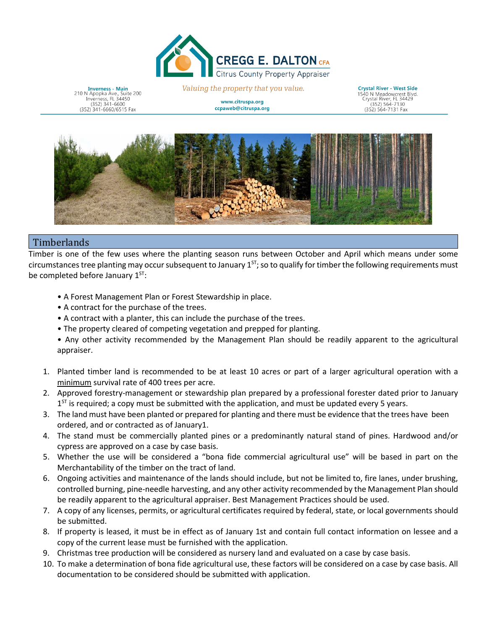

**Inverness - Main**<br>210 N Apopka Ave., Suite 200<br>Inverness, FL 34450<br>(352) 341-6600 (352) 341-6660/6515 Fax

Valuing the property that you value.

www.citruspa.org ccpaweb@citruspa.org **Crystal River - West Side** 1540 N Meadowcrest Blvd.<br>Crystal River, FL 34429<br>(352) 564-7130 (352) 564-7131 Fax



## **Timberlands**

Timber is one of the few uses where the planting season runs between October and April which means under some circumstances tree planting may occur subsequent to January  $1^{ST}$ ; so to qualify for timber the following requirements must be completed before January 1<sup>ST</sup>:

- A Forest Management Plan or Forest Stewardship in place.
- A contract for the purchase of the trees.
- A contract with a planter, this can include the purchase of the trees.
- The property cleared of competing vegetation and prepped for planting.
- Any other activity recommended by the Management Plan should be readily apparent to the agricultural appraiser.
- 1. Planted timber land is recommended to be at least 10 acres or part of a larger agricultural operation with a minimum survival rate of 400 trees per acre.
- 2. Approved forestry-management or stewardship plan prepared by a professional forester dated prior to January  $1^{ST}$  is required; a copy must be submitted with the application, and must be updated every 5 years.
- 3. The land must have been planted or prepared for planting and there must be evidence that the trees have been ordered, and or contracted as of January1.
- 4. The stand must be commercially planted pines or a predominantly natural stand of pines. Hardwood and/or cypress are approved on a case by case basis.
- 5. Whether the use will be considered a "bona fide commercial agricultural use" will be based in part on the Merchantability of the timber on the tract of land.
- 6. Ongoing activities and maintenance of the lands should include, but not be limited to, fire lanes, under brushing, controlled burning, pine-needle harvesting, and any other activity recommended by the Management Plan should be readily apparent to the agricultural appraiser. Best Management Practices should be used.
- 7. A copy of any licenses, permits, or agricultural certificates required by federal, state, or local governments should be submitted.
- 8. If property is leased, it must be in effect as of January 1st and contain full contact information on lessee and a copy of the current lease must be furnished with the application.
- 9. Christmas tree production will be considered as nursery land and evaluated on a case by case basis.
- 10. To make a determination of bona fide agricultural use, these factors will be considered on a case by case basis. All documentation to be considered should be submitted with application.